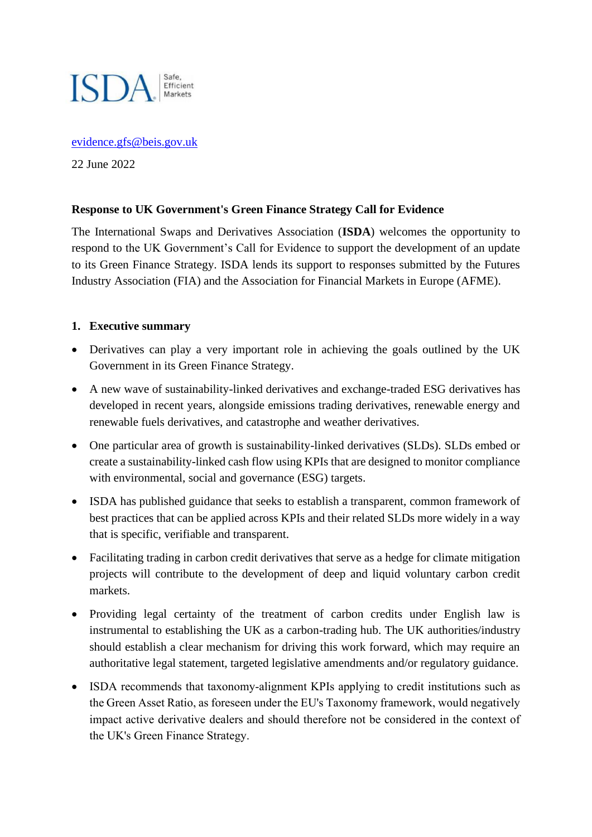

### [evidence.gfs@beis.gov.uk](mailto:evidence.gfs@beis.gov.uk)

22 June 2022

## **Response to UK Government's Green Finance Strategy Call for Evidence**

The International Swaps and Derivatives Association (**ISDA**) welcomes the opportunity to respond to the UK Government's Call for Evidence to support the development of an update to its Green Finance Strategy. ISDA lends its support to responses submitted by the Futures Industry Association (FIA) and the Association for Financial Markets in Europe (AFME).

### **1. Executive summary**

- Derivatives can play a very important role in achieving the goals outlined by the UK Government in its Green Finance Strategy.
- A new wave of sustainability-linked derivatives and exchange-traded ESG derivatives has developed in recent years, alongside emissions trading derivatives, renewable energy and renewable fuels derivatives, and catastrophe and weather derivatives.
- One particular area of growth is sustainability-linked derivatives (SLDs). SLDs embed or create a sustainability-linked cash flow using KPIs that are designed to monitor compliance with environmental, social and governance (ESG) targets.
- ISDA has published guidance that seeks to establish a transparent, common framework of best practices that can be applied across KPIs and their related SLDs more widely in a way that is specific, verifiable and transparent.
- Facilitating trading in carbon credit derivatives that serve as a hedge for climate mitigation projects will contribute to the development of deep and liquid voluntary carbon credit markets.
- Providing legal certainty of the treatment of carbon credits under English law is instrumental to establishing the UK as a carbon-trading hub. The UK authorities/industry should establish a clear mechanism for driving this work forward, which may require an authoritative legal statement, targeted legislative amendments and/or regulatory guidance.
- ISDA recommends that taxonomy-alignment KPIs applying to credit institutions such as the Green Asset Ratio, as foreseen under the EU's Taxonomy framework, would negatively impact active derivative dealers and should therefore not be considered in the context of the UK's Green Finance Strategy.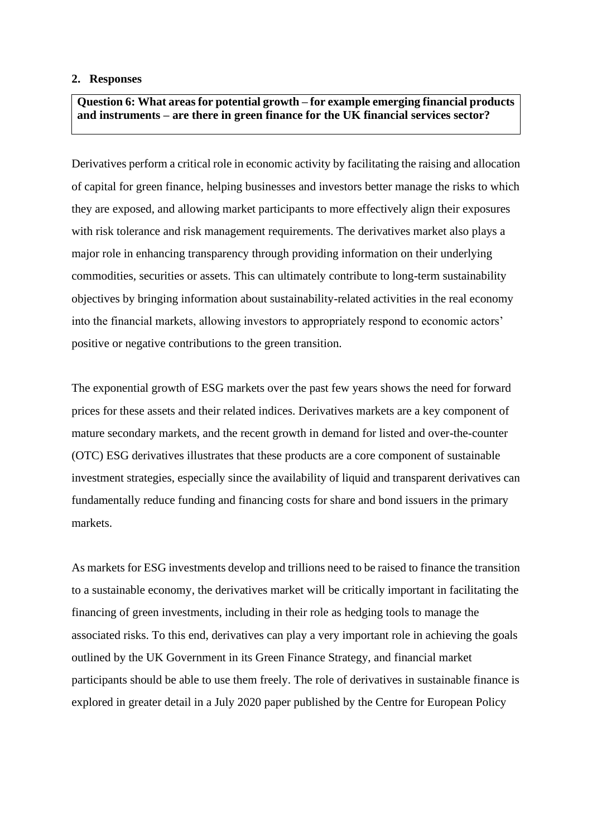#### **2. Responses**

**Question 6: What areas for potential growth – for example emerging financial products and instruments – are there in green finance for the UK financial services sector?**

Derivatives perform a critical role in economic activity by facilitating the raising and allocation of capital for green finance, helping businesses and investors better manage the risks to which they are exposed, and allowing market participants to more effectively align their exposures with risk tolerance and risk management requirements. The derivatives market also plays a major role in enhancing transparency through providing information on their underlying commodities, securities or assets. This can ultimately contribute to long-term sustainability objectives by bringing information about sustainability-related activities in the real economy into the financial markets, allowing investors to appropriately respond to economic actors' positive or negative contributions to the green transition.

The exponential growth of ESG markets over the past few years shows the need for forward prices for these assets and their related indices. Derivatives markets are a key component of mature secondary markets, and the recent growth in demand for listed and over-the-counter (OTC) ESG derivatives illustrates that these products are a core component of sustainable investment strategies, especially since the availability of liquid and transparent derivatives can fundamentally reduce funding and financing costs for share and bond issuers in the primary markets.

As markets for ESG investments develop and trillions need to be raised to finance the transition to a sustainable economy, the derivatives market will be critically important in facilitating the financing of green investments, including in their role as hedging tools to manage the associated risks. To this end, derivatives can play a very important role in achieving the goals outlined by the UK Government in its Green Finance Strategy, and financial market participants should be able to use them freely. The role of derivatives in sustainable finance is explored in greater detail in a July 2020 paper published by the Centre for European Policy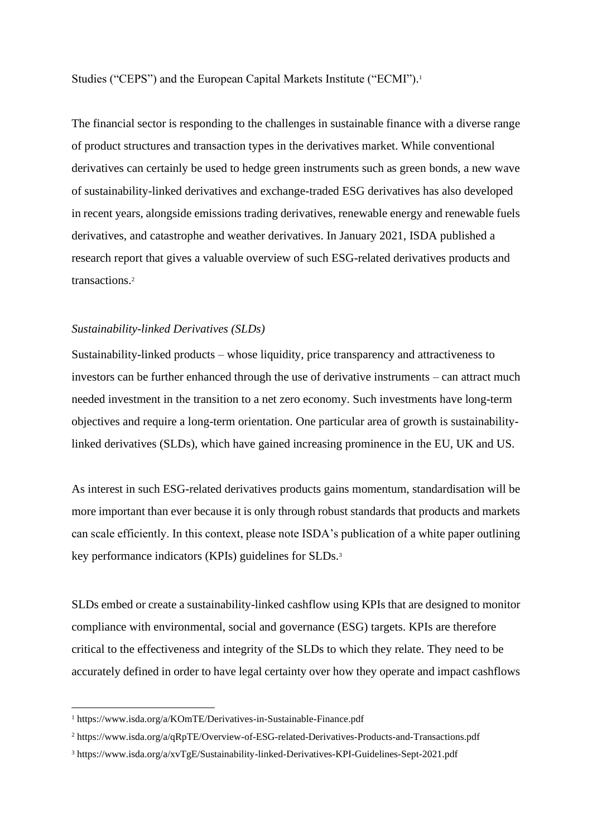Studies ("CEPS") and the European Capital Markets Institute ("ECMI").<sup>1</sup>

The financial sector is responding to the challenges in sustainable finance with a diverse range of product structures and transaction types in the derivatives market. While conventional derivatives can certainly be used to hedge green instruments such as green bonds, a new wave of sustainability-linked derivatives and exchange-traded ESG derivatives has also developed in recent years, alongside emissions trading derivatives, renewable energy and renewable fuels derivatives, and catastrophe and weather derivatives. In January 2021, ISDA published a research report that gives a valuable overview of such ESG-related derivatives products and transactions.<sup>2</sup>

#### *Sustainability-linked Derivatives (SLDs)*

Sustainability-linked products – whose liquidity, price transparency and attractiveness to investors can be further enhanced through the use of derivative instruments – can attract much needed investment in the transition to a net zero economy. Such investments have long-term objectives and require a long-term orientation. One particular area of growth is sustainabilitylinked derivatives (SLDs), which have gained increasing prominence in the EU, UK and US.

As interest in such ESG-related derivatives products gains momentum, standardisation will be more important than ever because it is only through robust standards that products and markets can scale efficiently. In this context, please note ISDA's publication of a white paper outlining key performance indicators (KPIs) guidelines for SLDs.<sup>3</sup>

SLDs embed or create a sustainability-linked cashflow using KPIs that are designed to monitor compliance with environmental, social and governance (ESG) targets. KPIs are therefore critical to the effectiveness and integrity of the SLDs to which they relate. They need to be accurately defined in order to have legal certainty over how they operate and impact cashflows

<sup>1</sup> https://www.isda.org/a/KOmTE/Derivatives-in-Sustainable-Finance.pdf

<sup>2</sup> https://www.isda.org/a/qRpTE/Overview-of-ESG-related-Derivatives-Products-and-Transactions.pdf

<sup>3</sup> https://www.isda.org/a/xvTgE/Sustainability-linked-Derivatives-KPI-Guidelines-Sept-2021.pdf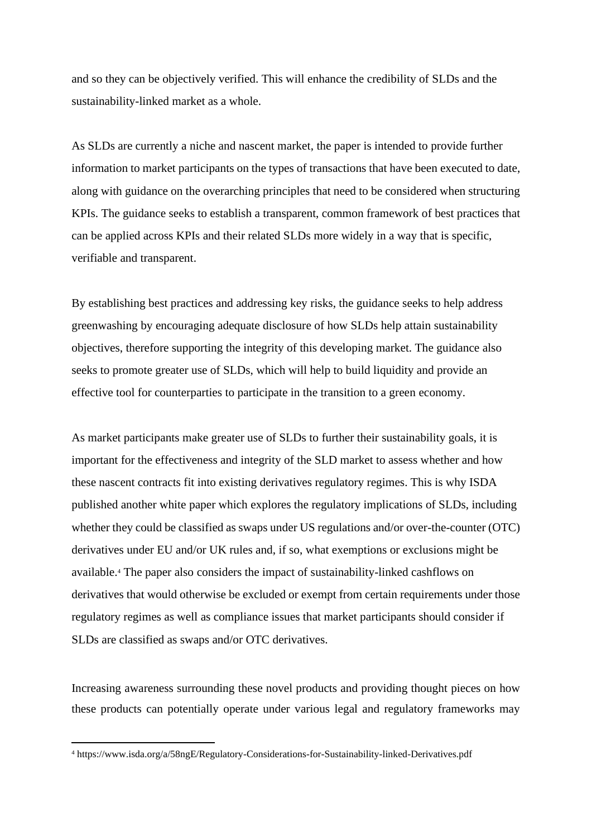and so they can be objectively verified. This will enhance the credibility of SLDs and the sustainability-linked market as a whole.

As SLDs are currently a niche and nascent market, the paper is intended to provide further information to market participants on the types of transactions that have been executed to date, along with guidance on the overarching principles that need to be considered when structuring KPIs. The guidance seeks to establish a transparent, common framework of best practices that can be applied across KPIs and their related SLDs more widely in a way that is specific, verifiable and transparent.

By establishing best practices and addressing key risks, the guidance seeks to help address greenwashing by encouraging adequate disclosure of how SLDs help attain sustainability objectives, therefore supporting the integrity of this developing market. The guidance also seeks to promote greater use of SLDs, which will help to build liquidity and provide an effective tool for counterparties to participate in the transition to a green economy.

As market participants make greater use of SLDs to further their sustainability goals, it is important for the effectiveness and integrity of the SLD market to assess whether and how these nascent contracts fit into existing derivatives regulatory regimes. This is why ISDA published another white paper which explores the regulatory implications of SLDs, including whether they could be classified as swaps under US regulations and/or over-the-counter (OTC) derivatives under EU and/or UK rules and, if so, what exemptions or exclusions might be available.<sup>4</sup> The paper also considers the impact of sustainability-linked cashflows on derivatives that would otherwise be excluded or exempt from certain requirements under those regulatory regimes as well as compliance issues that market participants should consider if SLDs are classified as swaps and/or OTC derivatives.

Increasing awareness surrounding these novel products and providing thought pieces on how these products can potentially operate under various legal and regulatory frameworks may

<sup>4</sup> https://www.isda.org/a/58ngE/Regulatory-Considerations-for-Sustainability-linked-Derivatives.pdf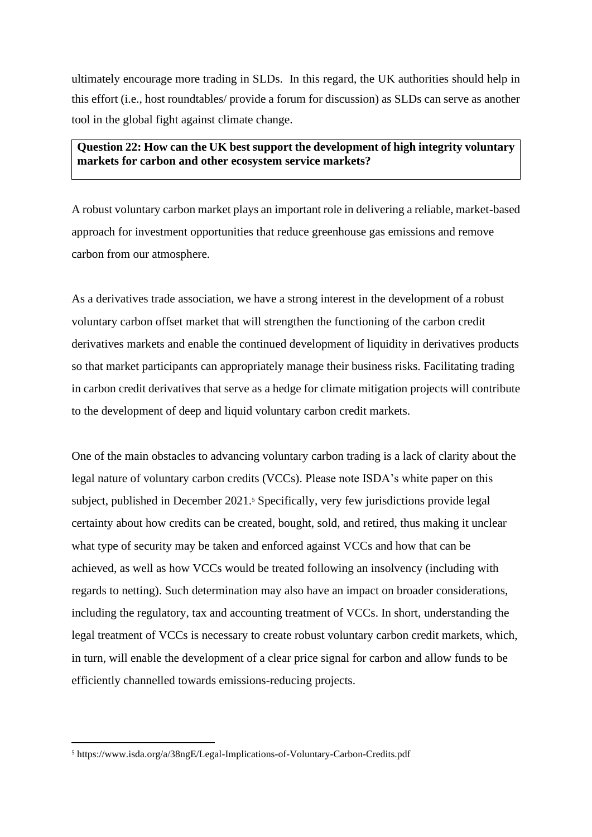ultimately encourage more trading in SLDs. In this regard, the UK authorities should help in this effort (i.e., host roundtables/ provide a forum for discussion) as SLDs can serve as another tool in the global fight against climate change.

### **Question 22: How can the UK best support the development of high integrity voluntary markets for carbon and other ecosystem service markets?**

A robust voluntary carbon market plays an important role in delivering a reliable, market-based approach for investment opportunities that reduce greenhouse gas emissions and remove carbon from our atmosphere.

As a derivatives trade association, we have a strong interest in the development of a robust voluntary carbon offset market that will strengthen the functioning of the carbon credit derivatives markets and enable the continued development of liquidity in derivatives products so that market participants can appropriately manage their business risks. Facilitating trading in carbon credit derivatives that serve as a hedge for climate mitigation projects will contribute to the development of deep and liquid voluntary carbon credit markets.

One of the main obstacles to advancing voluntary carbon trading is a lack of clarity about the legal nature of voluntary carbon credits (VCCs). Please note ISDA's white paper on this subject, published in December 2021.<sup>5</sup> Specifically, very few jurisdictions provide legal certainty about how credits can be created, bought, sold, and retired, thus making it unclear what type of security may be taken and enforced against VCCs and how that can be achieved, as well as how VCCs would be treated following an insolvency (including with regards to netting). Such determination may also have an impact on broader considerations, including the regulatory, tax and accounting treatment of VCCs. In short, understanding the legal treatment of VCCs is necessary to create robust voluntary carbon credit markets, which, in turn, will enable the development of a clear price signal for carbon and allow funds to be efficiently channelled towards emissions-reducing projects.

<sup>5</sup> https://www.isda.org/a/38ngE/Legal-Implications-of-Voluntary-Carbon-Credits.pdf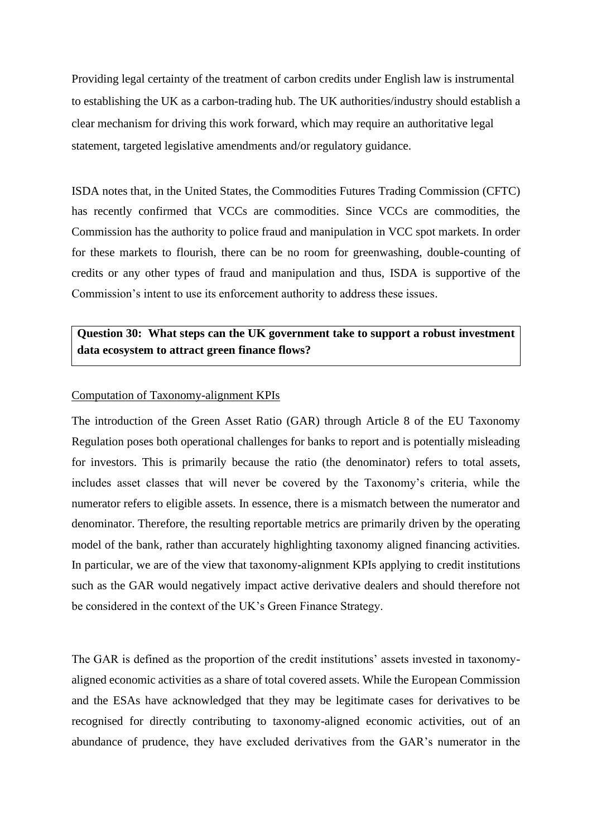Providing legal certainty of the treatment of carbon credits under English law is instrumental to establishing the UK as a carbon-trading hub. The UK authorities/industry should establish a clear mechanism for driving this work forward, which may require an authoritative legal statement, targeted legislative amendments and/or regulatory guidance.

ISDA notes that, in the United States, the Commodities Futures Trading Commission (CFTC) has recently confirmed that VCCs are commodities. Since VCCs are commodities, the Commission has the authority to police fraud and manipulation in VCC spot markets. In order for these markets to flourish, there can be no room for greenwashing, double-counting of credits or any other types of fraud and manipulation and thus, ISDA is supportive of the Commission's intent to use its enforcement authority to address these issues.

# **Question 30: What steps can the UK government take to support a robust investment data ecosystem to attract green finance flows?**

#### Computation of Taxonomy-alignment KPIs

The introduction of the Green Asset Ratio (GAR) through Article 8 of the EU Taxonomy Regulation poses both operational challenges for banks to report and is potentially misleading for investors. This is primarily because the ratio (the denominator) refers to total assets, includes asset classes that will never be covered by the Taxonomy's criteria, while the numerator refers to eligible assets. In essence, there is a mismatch between the numerator and denominator. Therefore, the resulting reportable metrics are primarily driven by the operating model of the bank, rather than accurately highlighting taxonomy aligned financing activities. In particular, we are of the view that taxonomy-alignment KPIs applying to credit institutions such as the GAR would negatively impact active derivative dealers and should therefore not be considered in the context of the UK's Green Finance Strategy.

The GAR is defined as the proportion of the credit institutions' assets invested in taxonomyaligned economic activities as a share of total covered assets. While the European Commission and the ESAs have acknowledged that they may be legitimate cases for derivatives to be recognised for directly contributing to taxonomy-aligned economic activities, out of an abundance of prudence, they have excluded derivatives from the GAR's numerator in the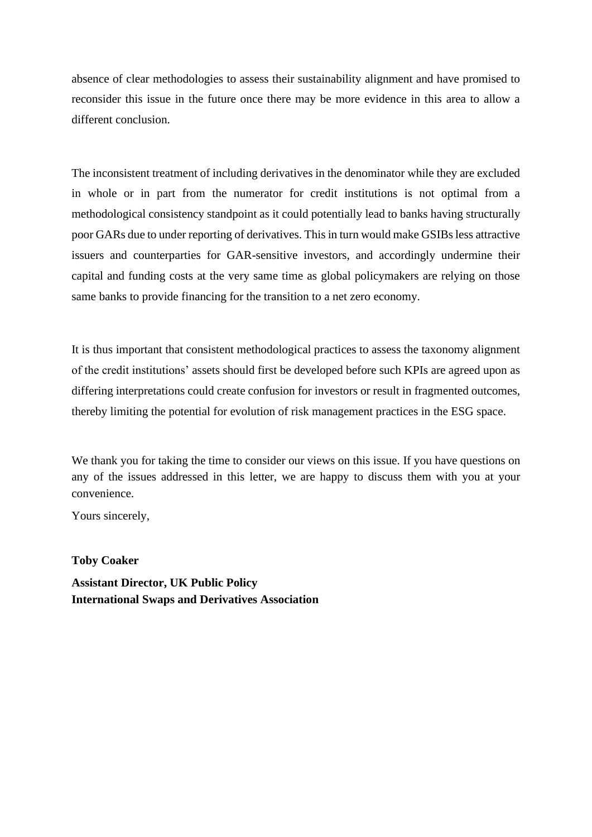absence of clear methodologies to assess their sustainability alignment and have promised to reconsider this issue in the future once there may be more evidence in this area to allow a different conclusion.

The inconsistent treatment of including derivatives in the denominator while they are excluded in whole or in part from the numerator for credit institutions is not optimal from a methodological consistency standpoint as it could potentially lead to banks having structurally poor GARs due to under reporting of derivatives. This in turn would make GSIBs less attractive issuers and counterparties for GAR-sensitive investors, and accordingly undermine their capital and funding costs at the very same time as global policymakers are relying on those same banks to provide financing for the transition to a net zero economy.

It is thus important that consistent methodological practices to assess the taxonomy alignment of the credit institutions' assets should first be developed before such KPIs are agreed upon as differing interpretations could create confusion for investors or result in fragmented outcomes, thereby limiting the potential for evolution of risk management practices in the ESG space.

We thank you for taking the time to consider our views on this issue. If you have questions on any of the issues addressed in this letter, we are happy to discuss them with you at your convenience.

Yours sincerely,

**Toby Coaker**

**Assistant Director, UK Public Policy International Swaps and Derivatives Association**